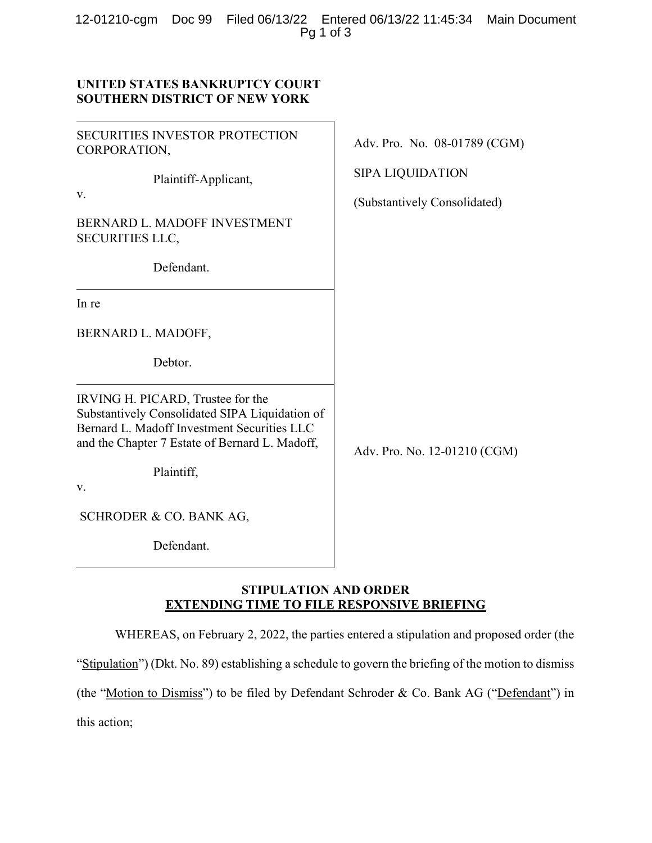|             |  |  | 12-01210-cgm Doc 99 Filed 06/13/22 Entered 06/13/22 11:45:34 Main Document |  |  |
|-------------|--|--|----------------------------------------------------------------------------|--|--|
| $Pq 1$ of 3 |  |  |                                                                            |  |  |

#### UNITED STATES BANKRUPTCY COURT SOUTHERN DISTRICT OF NEW YORK

| <b>SECURITIES INVESTOR PROTECTION</b><br>CORPORATION,                                                                                                                                | Adv. Pro. No. 08-01789 (CGM) |  |
|--------------------------------------------------------------------------------------------------------------------------------------------------------------------------------------|------------------------------|--|
| Plaintiff-Applicant,                                                                                                                                                                 | <b>SIPA LIQUIDATION</b>      |  |
| V.                                                                                                                                                                                   | (Substantively Consolidated) |  |
| BERNARD L. MADOFF INVESTMENT<br><b>SECURITIES LLC,</b>                                                                                                                               |                              |  |
| Defendant.                                                                                                                                                                           |                              |  |
| In re                                                                                                                                                                                |                              |  |
| BERNARD L. MADOFF,                                                                                                                                                                   |                              |  |
| Debtor.                                                                                                                                                                              |                              |  |
| IRVING H. PICARD, Trustee for the<br>Substantively Consolidated SIPA Liquidation of<br>Bernard L. Madoff Investment Securities LLC<br>and the Chapter 7 Estate of Bernard L. Madoff, | Adv. Pro. No. 12-01210 (CGM) |  |
| Plaintiff,                                                                                                                                                                           |                              |  |
| v.                                                                                                                                                                                   |                              |  |
| SCHRODER & CO. BANK AG,                                                                                                                                                              |                              |  |
| Defendant.                                                                                                                                                                           |                              |  |

# STIPULATION AND ORDER EXTENDING TIME TO FILE RESPONSIVE BRIEFING

WHEREAS, on February 2, 2022, the parties entered a stipulation and proposed order (the

"Stipulation") (Dkt. No. 89) establishing a schedule to govern the briefing of the motion to dismiss

(the "Motion to Dismiss") to be filed by Defendant Schroder & Co. Bank AG ("Defendant") in

this action;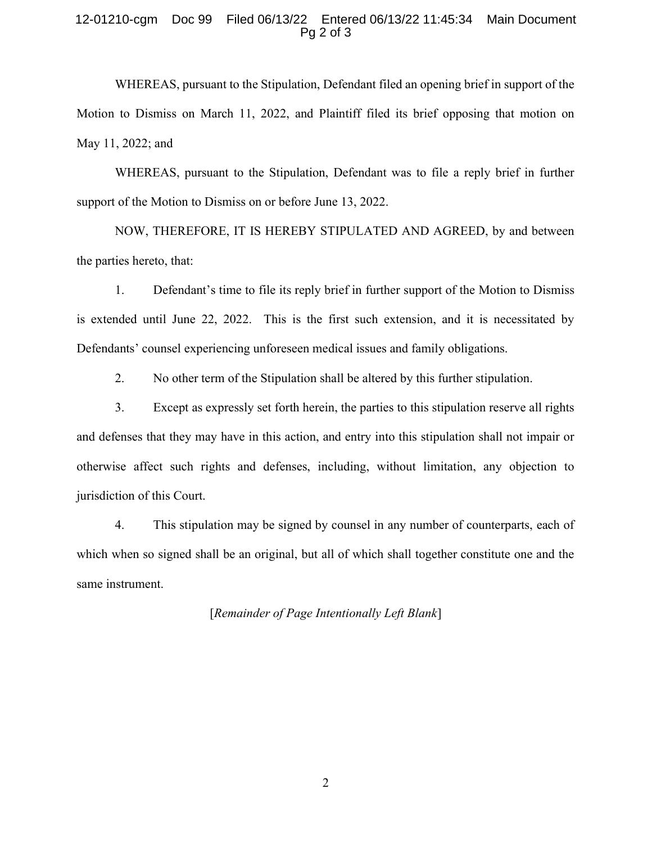#### 12-01210-cgm Doc 99 Filed 06/13/22 Entered 06/13/22 11:45:34 Main Document Pg 2 of 3

WHEREAS, pursuant to the Stipulation, Defendant filed an opening brief in support of the Motion to Dismiss on March 11, 2022, and Plaintiff filed its brief opposing that motion on May 11, 2022; and

WHEREAS, pursuant to the Stipulation, Defendant was to file a reply brief in further support of the Motion to Dismiss on or before June 13, 2022.

NOW, THEREFORE, IT IS HEREBY STIPULATED AND AGREED, by and between the parties hereto, that:

1. Defendant's time to file its reply brief in further support of the Motion to Dismiss is extended until June 22, 2022. This is the first such extension, and it is necessitated by Defendants' counsel experiencing unforeseen medical issues and family obligations.

2. No other term of the Stipulation shall be altered by this further stipulation.

3. Except as expressly set forth herein, the parties to this stipulation reserve all rights and defenses that they may have in this action, and entry into this stipulation shall not impair or otherwise affect such rights and defenses, including, without limitation, any objection to jurisdiction of this Court.

4. This stipulation may be signed by counsel in any number of counterparts, each of which when so signed shall be an original, but all of which shall together constitute one and the same instrument.

[Remainder of Page Intentionally Left Blank]